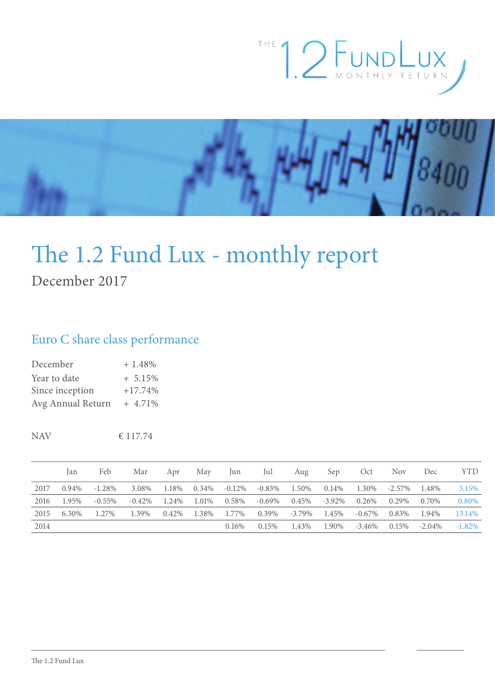



# The 1.2 Fund Lux - monthly report

December 2017

## Euro C share class performance

| December          | $+1.48%$   |
|-------------------|------------|
| Year to date      | $+ 5.15\%$ |
| Since inception   | $+17.74%$  |
| Avg Annual Return | $+4.71\%$  |

NAV  $\epsilon$  117.74

|      | lan   | Feb       | Mar   | Apr   | May           | Jun                         | Jul             | Aug             | Sep    | Oct    | Nov                   | Dec       | <b>YTD</b> |
|------|-------|-----------|-------|-------|---------------|-----------------------------|-----------------|-----------------|--------|--------|-----------------------|-----------|------------|
| 2017 | 0.94% | $-1.28\%$ | 3.08% | 1.18% | 0.34%         | $-0.12\%$                   |                 | $-0.83\%$ 1.50% | 0.14%  |        | 1.30\% -2.57\% 1.48\% |           | 5.15%      |
| 2016 | 1.95% | $-0.55\%$ |       |       |               | $-0.42\%$ 1.24% 1.01% 0.58% |                 | $-0.69\%$ 0.45% | -3.92% | 0.26%  | 0.29%                 | 0.70\%    | 0.80%      |
| 2015 | 6.30% | 1.27%     | 1.39% |       | 0.42\% 1.38\% | 1.77%                       | $0.39\%$ -3.79% |                 | 1.45%  | -0.67% | 0.83%                 | 1.94%     | 13.14%     |
| 2014 |       |           |       |       |               | $0.16\%$                    | $0.15\%$        | 1.43%           | 1.90%  | -3.46% | 0.15%                 | $-2.04\%$ | $-1.82\%$  |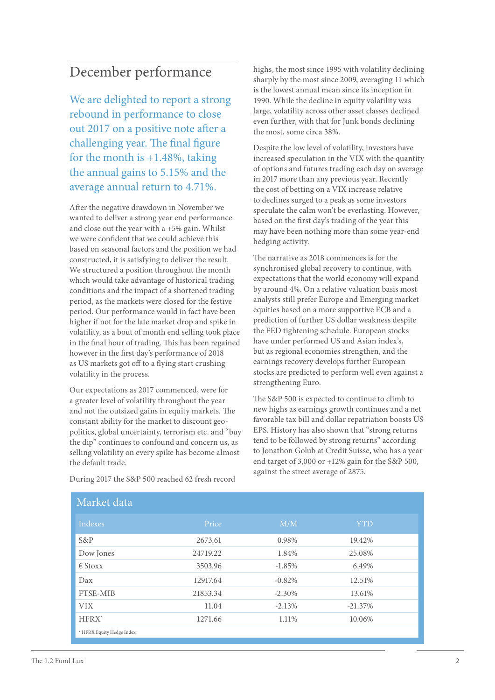# December performance

We are delighted to report a strong rebound in performance to close out 2017 on a positive note after a challenging year. The final figure for the month is  $+1.48\%$ , taking the annual gains to 5.15% and the average annual return to 4.71%.

After the negative drawdown in November we wanted to deliver a strong year end performance and close out the year with a +5% gain. Whilst we were confident that we could achieve this based on seasonal factors and the position we had constructed, it is satisfying to deliver the result. We structured a position throughout the month which would take advantage of historical trading conditions and the impact of a shortened trading period, as the markets were closed for the festive period. Our performance would in fact have been higher if not for the late market drop and spike in volatility, as a bout of month end selling took place in the final hour of trading. This has been regained however in the first day's performance of 2018 as US markets got off to a flying start crushing volatility in the process.

Our expectations as 2017 commenced, were for a greater level of volatility throughout the year and not the outsized gains in equity markets. The constant ability for the market to discount geopolitics, global uncertainty, terrorism etc. and "buy the dip" continues to confound and concern us, as selling volatility on every spike has become almost the default trade.

highs, the most since 1995 with volatility declining sharply by the most since 2009, averaging 11 which is the lowest annual mean since its inception in 1990. While the decline in equity volatility was large, volatility across other asset classes declined even further, with that for Junk bonds declining the most, some circa 38%.

Despite the low level of volatility, investors have increased speculation in the VIX with the quantity of options and futures trading each day on average in 2017 more than any previous year. Recently the cost of betting on a VIX increase relative to declines surged to a peak as some investors speculate the calm won't be everlasting. However, based on the first day's trading of the year this may have been nothing more than some year-end hedging activity.

The narrative as 2018 commences is for the synchronised global recovery to continue, with expectations that the world economy will expand by around 4%. On a relative valuation basis most analysts still prefer Europe and Emerging market equities based on a more supportive ECB and a prediction of further US dollar weakness despite the FED tightening schedule. European stocks have under performed US and Asian index's, but as regional economies strengthen, and the earnings recovery develops further European stocks are predicted to perform well even against a strengthening Euro.

The S&P 500 is expected to continue to climb to new highs as earnings growth continues and a net favorable tax bill and dollar repatriation boosts US EPS. History has also shown that "strong returns tend to be followed by strong returns" according to Jonathon Golub at Credit Suisse, who has a year end target of 3,000 or +12% gain for the S&P 500, against the street average of 2875.

| Market data               |          |           |            |  |  |  |
|---------------------------|----------|-----------|------------|--|--|--|
| Indexes                   | Price    | M/M       | <b>YTD</b> |  |  |  |
| $S\&P$                    | 2673.61  | 0.98%     | 19.42%     |  |  |  |
| Dow Jones                 | 24719.22 | 1.84%     | 25.08%     |  |  |  |
| $\epsilon$ Stoxx          | 3503.96  | $-1.85%$  | 6.49%      |  |  |  |
| Dax                       | 12917.64 | $-0.82%$  | 12.51%     |  |  |  |
| <b>FTSE-MIB</b>           | 21853.34 | $-2.30\%$ | 13.61%     |  |  |  |
| VIX.                      | 11.04    | $-2.13%$  | $-21.37%$  |  |  |  |
| $HFRX^*$                  | 1271.66  | 1.11%     | 10.06%     |  |  |  |
| * HFRX Equity Hedge Index |          |           |            |  |  |  |

During 2017 the S&P 500 reached 62 fresh record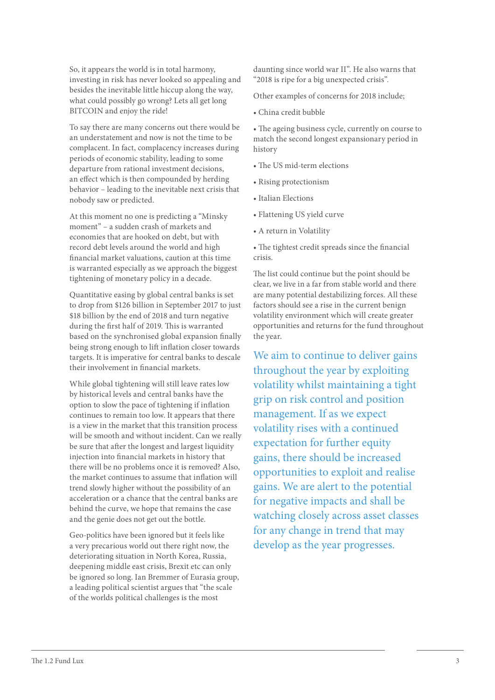So, it appears the world is in total harmony, investing in risk has never looked so appealing and besides the inevitable little hiccup along the way, what could possibly go wrong? Lets all get long BITCOIN and enjoy the ride!

To say there are many concerns out there would be an understatement and now is not the time to be complacent. In fact, complacency increases during periods of economic stability, leading to some departure from rational investment decisions, an effect which is then compounded by herding behavior – leading to the inevitable next crisis that nobody saw or predicted.

At this moment no one is predicting a "Minsky moment" – a sudden crash of markets and economies that are hooked on debt, but with record debt levels around the world and high financial market valuations, caution at this time is warranted especially as we approach the biggest tightening of monetary policy in a decade.

Quantitative easing by global central banks is set to drop from \$126 billion in September 2017 to just \$18 billion by the end of 2018 and turn negative during the first half of 2019. This is warranted based on the synchronised global expansion finally being strong enough to lift inflation closer towards targets. It is imperative for central banks to descale their involvement in financial markets.

While global tightening will still leave rates low by historical levels and central banks have the option to slow the pace of tightening if inflation continues to remain too low. It appears that there is a view in the market that this transition process will be smooth and without incident. Can we really be sure that after the longest and largest liquidity injection into financial markets in history that there will be no problems once it is removed? Also, the market continues to assume that inflation will trend slowly higher without the possibility of an acceleration or a chance that the central banks are behind the curve, we hope that remains the case and the genie does not get out the bottle.

Geo-politics have been ignored but it feels like a very precarious world out there right now, the deteriorating situation in North Korea, Russia, deepening middle east crisis, Brexit etc can only be ignored so long. Ian Bremmer of Eurasia group, a leading political scientist argues that "the scale of the worlds political challenges is the most

daunting since world war II". He also warns that "2018 is ripe for a big unexpected crisis".

Other examples of concerns for 2018 include;

• China credit bubble

• The ageing business cycle, currently on course to match the second longest expansionary period in history

- The US mid-term elections
- Rising protectionism
- Italian Elections
- Flattening US yield curve
- A return in Volatility

• The tightest credit spreads since the financial crisis.

The list could continue but the point should be clear, we live in a far from stable world and there are many potential destabilizing forces. All these factors should see a rise in the current benign volatility environment which will create greater opportunities and returns for the fund throughout the year.

We aim to continue to deliver gains throughout the year by exploiting volatility whilst maintaining a tight grip on risk control and position management. If as we expect volatility rises with a continued expectation for further equity gains, there should be increased opportunities to exploit and realise gains. We are alert to the potential for negative impacts and shall be watching closely across asset classes for any change in trend that may develop as the year progresses.